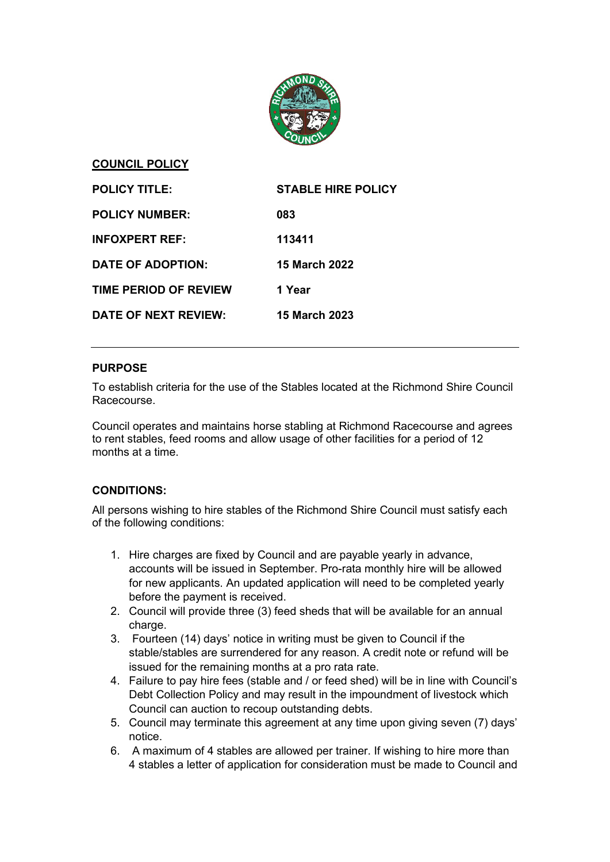

### **COUNCIL POLICY**

| <b>POLICY TITLE:</b>         | <b>STABLE HIRE POLICY</b> |
|------------------------------|---------------------------|
| <b>POLICY NUMBER:</b>        | 083                       |
| <b>INFOXPERT REF:</b>        | 113411                    |
| DATE OF ADOPTION:            | <b>15 March 2022</b>      |
| <b>TIME PERIOD OF REVIEW</b> | 1 Year                    |
| <b>DATE OF NEXT REVIEW:</b>  | <b>15 March 2023</b>      |

## **PURPOSE**

To establish criteria for the use of the Stables located at the Richmond Shire Council Racecourse.

Council operates and maintains horse stabling at Richmond Racecourse and agrees to rent stables, feed rooms and allow usage of other facilities for a period of 12 months at a time.

# **CONDITIONS:**

All persons wishing to hire stables of the Richmond Shire Council must satisfy each of the following conditions:

- 1. Hire charges are fixed by Council and are payable yearly in advance, accounts will be issued in September. Pro-rata monthly hire will be allowed for new applicants. An updated application will need to be completed yearly before the payment is received.
- 2. Council will provide three (3) feed sheds that will be available for an annual charge.
- 3. Fourteen (14) days' notice in writing must be given to Council if the stable/stables are surrendered for any reason. A credit note or refund will be issued for the remaining months at a pro rata rate.
- 4. Failure to pay hire fees (stable and / or feed shed) will be in line with Council's Debt Collection Policy and may result in the impoundment of livestock which Council can auction to recoup outstanding debts.
- 5. Council may terminate this agreement at any time upon giving seven (7) days' notice.
- 6. A maximum of 4 stables are allowed per trainer. If wishing to hire more than 4 stables a letter of application for consideration must be made to Council and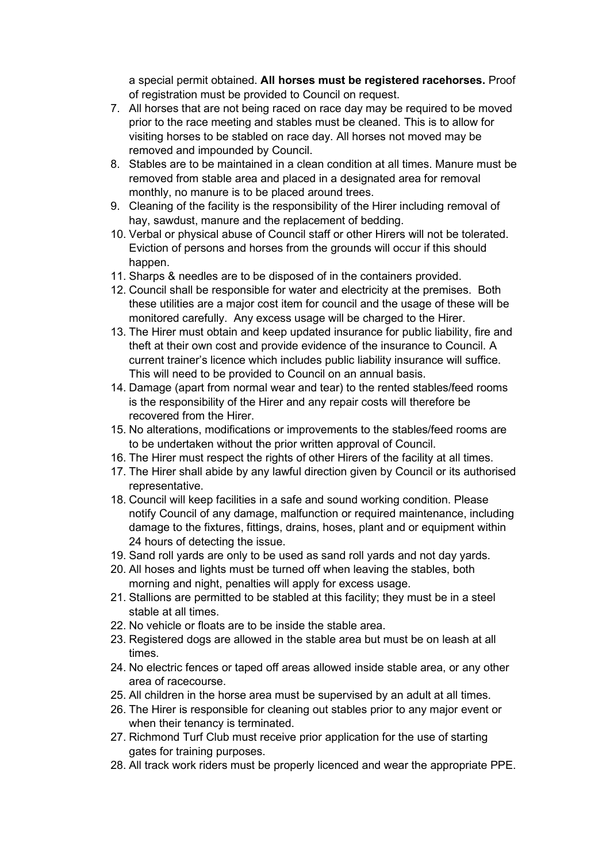a special permit obtained. **All horses must be registered racehorses.** Proof of registration must be provided to Council on request.

- 7. All horses that are not being raced on race day may be required to be moved prior to the race meeting and stables must be cleaned. This is to allow for visiting horses to be stabled on race day. All horses not moved may be removed and impounded by Council.
- 8. Stables are to be maintained in a clean condition at all times. Manure must be removed from stable area and placed in a designated area for removal monthly, no manure is to be placed around trees.
- 9. Cleaning of the facility is the responsibility of the Hirer including removal of hay, sawdust, manure and the replacement of bedding.
- 10. Verbal or physical abuse of Council staff or other Hirers will not be tolerated. Eviction of persons and horses from the grounds will occur if this should happen.
- 11. Sharps & needles are to be disposed of in the containers provided.
- 12. Council shall be responsible for water and electricity at the premises. Both these utilities are a major cost item for council and the usage of these will be monitored carefully. Any excess usage will be charged to the Hirer.
- 13. The Hirer must obtain and keep updated insurance for public liability, fire and theft at their own cost and provide evidence of the insurance to Council. A current trainer's licence which includes public liability insurance will suffice. This will need to be provided to Council on an annual basis.
- 14. Damage (apart from normal wear and tear) to the rented stables/feed rooms is the responsibility of the Hirer and any repair costs will therefore be recovered from the Hirer.
- 15. No alterations, modifications or improvements to the stables/feed rooms are to be undertaken without the prior written approval of Council.
- 16. The Hirer must respect the rights of other Hirers of the facility at all times.
- 17. The Hirer shall abide by any lawful direction given by Council or its authorised representative.
- 18. Council will keep facilities in a safe and sound working condition. Please notify Council of any damage, malfunction or required maintenance, including damage to the fixtures, fittings, drains, hoses, plant and or equipment within 24 hours of detecting the issue.
- 19. Sand roll yards are only to be used as sand roll yards and not day yards.
- 20. All hoses and lights must be turned off when leaving the stables, both morning and night, penalties will apply for excess usage.
- 21. Stallions are permitted to be stabled at this facility; they must be in a steel stable at all times.
- 22. No vehicle or floats are to be inside the stable area.
- 23. Registered dogs are allowed in the stable area but must be on leash at all times.
- 24. No electric fences or taped off areas allowed inside stable area, or any other area of racecourse.
- 25. All children in the horse area must be supervised by an adult at all times.
- 26. The Hirer is responsible for cleaning out stables prior to any major event or when their tenancy is terminated.
- 27. Richmond Turf Club must receive prior application for the use of starting gates for training purposes.
- 28. All track work riders must be properly licenced and wear the appropriate PPE.